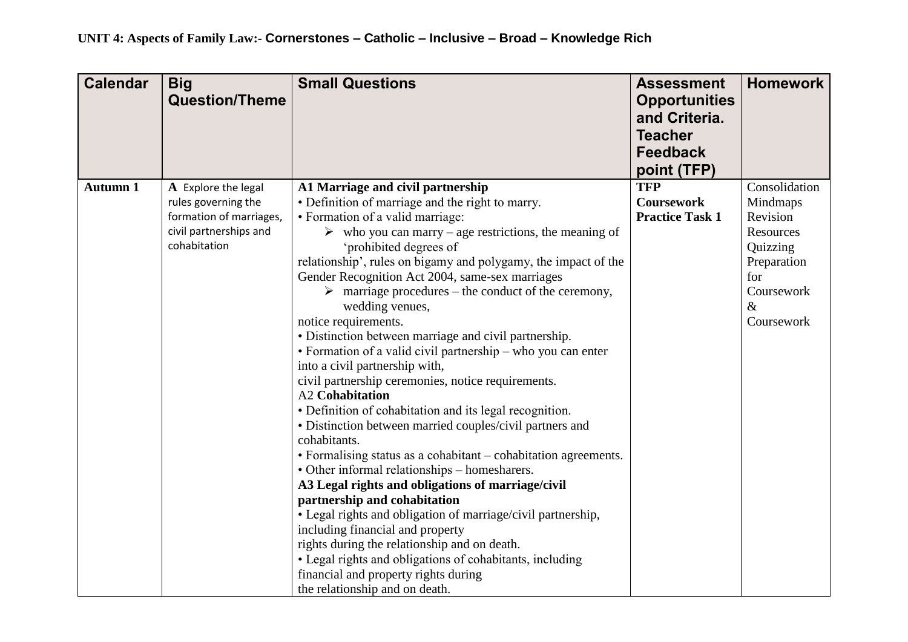| <b>Calendar</b> | <b>Big</b><br><b>Question/Theme</b>        | <b>Small Questions</b>                                                                | <b>Assessment</b><br><b>Opportunities</b><br>and Criteria.<br><b>Teacher</b><br><b>Feedback</b> | <b>Homework</b>           |
|-----------------|--------------------------------------------|---------------------------------------------------------------------------------------|-------------------------------------------------------------------------------------------------|---------------------------|
|                 |                                            |                                                                                       | point (TFP)                                                                                     |                           |
| <b>Autumn 1</b> | A Explore the legal<br>rules governing the | A1 Marriage and civil partnership<br>• Definition of marriage and the right to marry. | <b>TFP</b><br><b>Coursework</b>                                                                 | Consolidation<br>Mindmaps |
|                 | formation of marriages,                    | • Formation of a valid marriage:                                                      | <b>Practice Task 1</b>                                                                          | Revision                  |
|                 | civil partnerships and                     | $\triangleright$ who you can marry – age restrictions, the meaning of                 |                                                                                                 | Resources                 |
|                 | cohabitation                               | 'prohibited degrees of                                                                |                                                                                                 | Quizzing                  |
|                 |                                            | relationship', rules on bigamy and polygamy, the impact of the                        |                                                                                                 | Preparation               |
|                 |                                            | Gender Recognition Act 2004, same-sex marriages                                       |                                                                                                 | for                       |
|                 |                                            | $\triangleright$ marriage procedures – the conduct of the ceremony,                   |                                                                                                 | Coursework                |
|                 |                                            | wedding venues,                                                                       |                                                                                                 | $\&$<br>Coursework        |
|                 |                                            | notice requirements.<br>• Distinction between marriage and civil partnership.         |                                                                                                 |                           |
|                 |                                            | • Formation of a valid civil partnership – who you can enter                          |                                                                                                 |                           |
|                 |                                            | into a civil partnership with,                                                        |                                                                                                 |                           |
|                 |                                            | civil partnership ceremonies, notice requirements.                                    |                                                                                                 |                           |
|                 |                                            | <b>A2 Cohabitation</b>                                                                |                                                                                                 |                           |
|                 |                                            | • Definition of cohabitation and its legal recognition.                               |                                                                                                 |                           |
|                 |                                            | • Distinction between married couples/civil partners and                              |                                                                                                 |                           |
|                 |                                            | cohabitants.                                                                          |                                                                                                 |                           |
|                 |                                            | • Formalising status as a cohabitant - cohabitation agreements.                       |                                                                                                 |                           |
|                 |                                            | • Other informal relationships - homesharers.                                         |                                                                                                 |                           |
|                 |                                            | A3 Legal rights and obligations of marriage/civil                                     |                                                                                                 |                           |
|                 |                                            | partnership and cohabitation                                                          |                                                                                                 |                           |
|                 |                                            | • Legal rights and obligation of marriage/civil partnership,                          |                                                                                                 |                           |
|                 |                                            | including financial and property<br>rights during the relationship and on death.      |                                                                                                 |                           |
|                 |                                            | • Legal rights and obligations of cohabitants, including                              |                                                                                                 |                           |
|                 |                                            | financial and property rights during                                                  |                                                                                                 |                           |
|                 |                                            | the relationship and on death.                                                        |                                                                                                 |                           |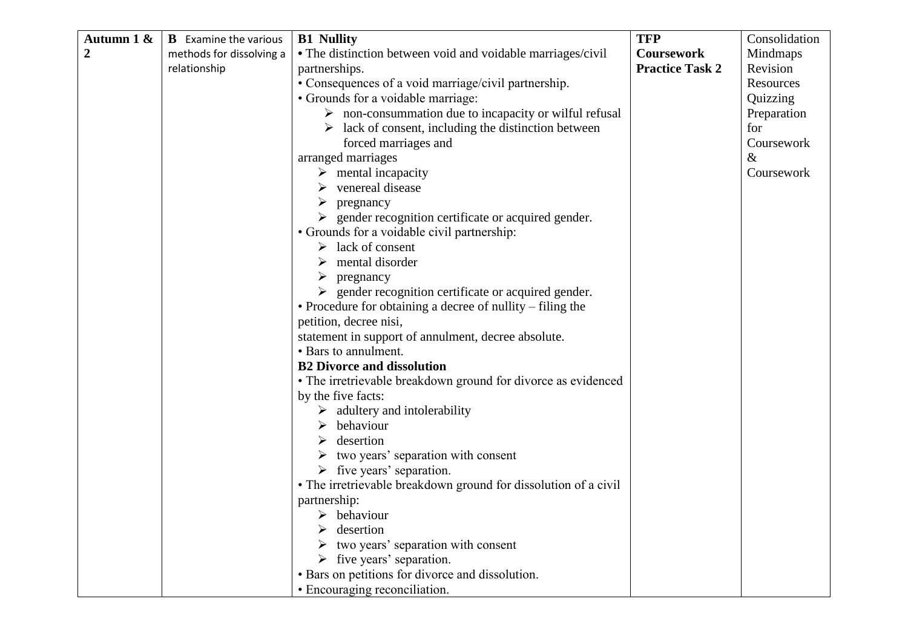| Autumn 1 &       | <b>B</b> Examine the various | <b>B1</b> Nullity                                                     | <b>TFP</b>             | Consolidation |
|------------------|------------------------------|-----------------------------------------------------------------------|------------------------|---------------|
| $\boldsymbol{2}$ | methods for dissolving a     | • The distinction between void and voidable marriages/civil           | <b>Coursework</b>      | Mindmaps      |
|                  | relationship                 | partnerships.                                                         | <b>Practice Task 2</b> | Revision      |
|                  |                              | • Consequences of a void marriage/civil partnership.                  |                        | Resources     |
|                  |                              | • Grounds for a voidable marriage:                                    |                        | Quizzing      |
|                  |                              | $\triangleright$ non-consummation due to incapacity or wilful refusal |                        | Preparation   |
|                  |                              | $\triangleright$ lack of consent, including the distinction between   |                        | for           |
|                  |                              | forced marriages and                                                  |                        | Coursework    |
|                  |                              | arranged marriages                                                    |                        | &             |
|                  |                              | $\triangleright$ mental incapacity                                    |                        | Coursework    |
|                  |                              | venereal disease                                                      |                        |               |
|                  |                              | ➤<br>pregnancy                                                        |                        |               |
|                  |                              | $\triangleright$ gender recognition certificate or acquired gender.   |                        |               |
|                  |                              | • Grounds for a voidable civil partnership:                           |                        |               |
|                  |                              | lack of consent<br>➤                                                  |                        |               |
|                  |                              | mental disorder<br>➤                                                  |                        |               |
|                  |                              | pregnancy<br>➤                                                        |                        |               |
|                  |                              | $\triangleright$ gender recognition certificate or acquired gender.   |                        |               |
|                  |                              | • Procedure for obtaining a decree of nullity – filing the            |                        |               |
|                  |                              | petition, decree nisi,                                                |                        |               |
|                  |                              | statement in support of annulment, decree absolute.                   |                        |               |
|                  |                              | • Bars to annulment.                                                  |                        |               |
|                  |                              | <b>B2 Divorce and dissolution</b>                                     |                        |               |
|                  |                              | • The irretrievable breakdown ground for divorce as evidenced         |                        |               |
|                  |                              | by the five facts:                                                    |                        |               |
|                  |                              | $\triangleright$ adultery and intolerability                          |                        |               |
|                  |                              | behaviour<br>➤                                                        |                        |               |
|                  |                              | desertion                                                             |                        |               |
|                  |                              | two years' separation with consent                                    |                        |               |
|                  |                              | $\triangleright$ five years' separation.                              |                        |               |
|                  |                              | • The irretrievable breakdown ground for dissolution of a civil       |                        |               |
|                  |                              | partnership:                                                          |                        |               |
|                  |                              | behaviour                                                             |                        |               |
|                  |                              | desertion                                                             |                        |               |
|                  |                              | two years' separation with consent                                    |                        |               |
|                  |                              | $\triangleright$ five years' separation.                              |                        |               |
|                  |                              | • Bars on petitions for divorce and dissolution.                      |                        |               |
|                  |                              | • Encouraging reconciliation.                                         |                        |               |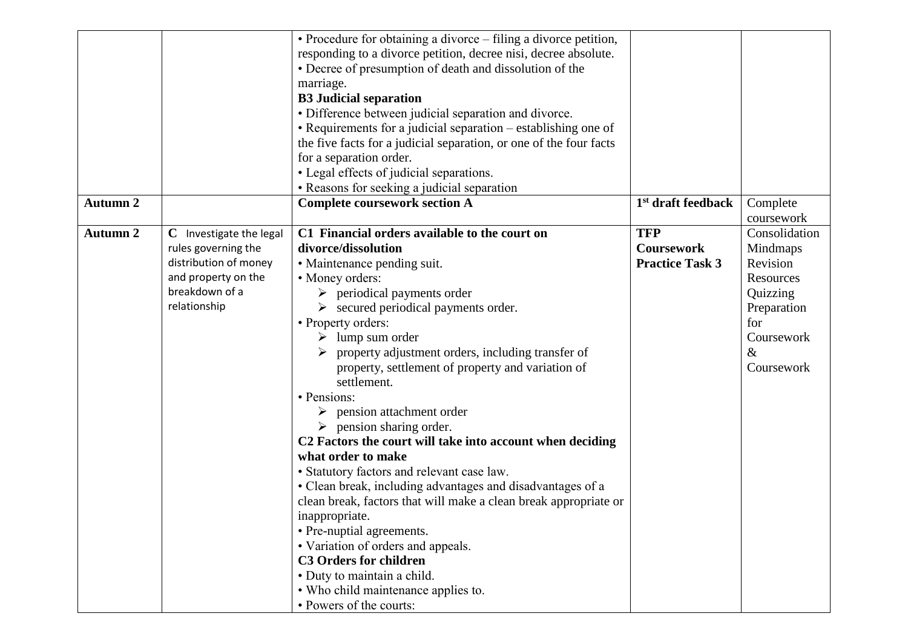|                 |                         | • Procedure for obtaining a divorce – filing a divorce petition,   |                                |               |
|-----------------|-------------------------|--------------------------------------------------------------------|--------------------------------|---------------|
|                 |                         | responding to a divorce petition, decree nisi, decree absolute.    |                                |               |
|                 |                         | • Decree of presumption of death and dissolution of the            |                                |               |
|                 |                         | marriage.                                                          |                                |               |
|                 |                         | <b>B3</b> Judicial separation                                      |                                |               |
|                 |                         | • Difference between judicial separation and divorce.              |                                |               |
|                 |                         | • Requirements for a judicial separation – establishing one of     |                                |               |
|                 |                         | the five facts for a judicial separation, or one of the four facts |                                |               |
|                 |                         | for a separation order.                                            |                                |               |
|                 |                         | • Legal effects of judicial separations.                           |                                |               |
|                 |                         | • Reasons for seeking a judicial separation                        |                                |               |
| <b>Autumn 2</b> |                         | <b>Complete coursework section A</b>                               | 1 <sup>st</sup> draft feedback | Complete      |
|                 |                         |                                                                    |                                | coursework    |
| <b>Autumn 2</b> | C Investigate the legal | C1 Financial orders available to the court on                      | <b>TFP</b>                     | Consolidation |
|                 | rules governing the     | divorce/dissolution                                                | <b>Coursework</b>              | Mindmaps      |
|                 | distribution of money   | • Maintenance pending suit.                                        | <b>Practice Task 3</b>         | Revision      |
|                 | and property on the     | • Money orders:                                                    |                                | Resources     |
|                 | breakdown of a          | $\triangleright$ periodical payments order                         |                                | Quizzing      |
|                 | relationship            | $\triangleright$ secured periodical payments order.                |                                | Preparation   |
|                 |                         | • Property orders:                                                 |                                | for           |
|                 |                         | $\triangleright$ lump sum order                                    |                                | Coursework    |
|                 |                         | property adjustment orders, including transfer of                  |                                | $\&$          |
|                 |                         | property, settlement of property and variation of                  |                                | Coursework    |
|                 |                         | settlement.                                                        |                                |               |
|                 |                         | • Pensions:                                                        |                                |               |
|                 |                         | pension attachment order<br>➤                                      |                                |               |
|                 |                         | $\triangleright$ pension sharing order.                            |                                |               |
|                 |                         | C2 Factors the court will take into account when deciding          |                                |               |
|                 |                         | what order to make                                                 |                                |               |
|                 |                         | • Statutory factors and relevant case law.                         |                                |               |
|                 |                         | • Clean break, including advantages and disadvantages of a         |                                |               |
|                 |                         | clean break, factors that will make a clean break appropriate or   |                                |               |
|                 |                         | inappropriate.                                                     |                                |               |
|                 |                         | • Pre-nuptial agreements.                                          |                                |               |
|                 |                         | • Variation of orders and appeals.                                 |                                |               |
|                 |                         | <b>C3 Orders for children</b>                                      |                                |               |
|                 |                         | · Duty to maintain a child.                                        |                                |               |
|                 |                         | • Who child maintenance applies to.                                |                                |               |
|                 |                         | • Powers of the courts:                                            |                                |               |